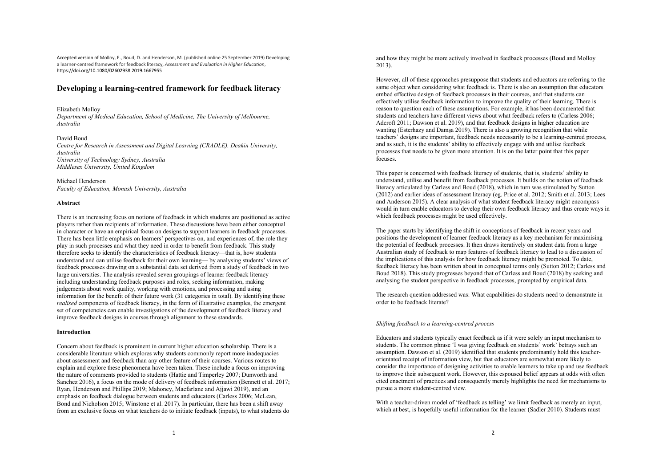Accepted version of Molloy, E., Boud, D. and Henderson, M. (published online 25 September 2019) Developing a learner-centred framework for feedback literacy, *Assessment and Evaluation in Higher Education*, https://doi.org/10.1080/02602938.2019.1667955

# **Developing a learning-centred framework for feedback literacy**

### Elizabeth Molloy

*Department of Medical Education, School of Medicine, The University of Melbourne, Australia*

#### David Boud

*Centre for Research in Assessment and Digital Learning (CRADLE), Deakin University, Australia University of Technology Sydney, Australia Middlesex University, United Kingdom*

Michael Henderson *Faculty of Education, Monash University, Australia*

#### **Abstract**

There is an increasing focus on notions of feedback in which students are positioned as active players rather than recipients of information. These discussions have been either conceptual in character or have an empirical focus on designs to support learners in feedback processes. There has been little emphasis on learners' perspectives on, and experiences of, the role they play in such processes and what they need in order to benefit from feedback. This study therefore seeks to identify the characteristics of feedback literacy—that is, how students understand and can utilise feedback for their own learning— by analysing students' views of feedback processes drawing on a substantial data set derived from a study of feedback in two large universities. The analysis revealed seven groupings of learner feedback literacy including understanding feedback purposes and roles, seeking information, making judgements about work quality, working with emotions, and processing and using information for the benefit of their future work (31 categories in total). By identifying these *realised* components of feedback literacy, in the form of illustrative examples, the emergent set of competencies can enable investigations of the development of feedback literacy and improve feedback designs in courses through alignment to these standards.

#### **Introduction**

Concern about feedback is prominent in current higher education scholarship. There is a considerable literature which explores why students commonly report more inadequacies about assessment and feedback than any other feature of their courses. Various routes to explain and explore these phenomena have been taken. These include a focus on improving the nature of comments provided to students (Hattie and Timperley 2007; Dunworth and Sanchez 2016), a focus on the mode of delivery of feedback information (Bennett et al. 2017; Ryan, Henderson and Phillips 2019; Mahoney, Macfarlane and Ajjawi 2019), and an emphasis on feedback dialogue between students and educators (Carless 2006; McLean, Bond and Nicholson 2015; Winstone et al. 2017). In particular, there has been a shift away from an exclusive focus on what teachers do to initiate feedback (inputs), to what students do

and how they might be more actively involved in feedback processes (Boud and Molloy 2013).

However, all of these approaches presuppose that students and educators are referring to the same object when considering what feedback is. There is also an assumption that educators embed effective design of feedback processes in their courses, and that students can effectively utilise feedback information to improve the quality of their learning. There is reason to question each of these assumptions. For example, it has been documented that students and teachers have different views about what feedback refers to (Carless 2006; Adcroft 2011; Dawson et al. 2019), and that feedback designs in higher education are wanting (Esterhazy and Damşa 2019). There is also a growing recognition that while teachers' designs are important, feedback needs necessarily to be a learning-centred process, and as such, it is the students' ability to effectively engage with and utilise feedback processes that needs to be given more attention. It is on the latter point that this paper focuses.

This paper is concerned with feedback literacy of students, that is, students' ability to understand, utilise and benefit from feedback processes. It builds on the notion of feedback literacy articulated by Carless and Boud (2018), which in turn was stimulated by Sutton (2012) and earlier ideas of assessment literacy (eg. Price et al. 2012; Smith et al. 2013; Lees and Anderson 2015). A clear analysis of what student feedback literacy might encompass would in turn enable educators to develop their own feedback literacy and thus create ways in which feedback processes might be used effectively.

The paper starts by identifying the shift in conceptions of feedback in recent years and positions the development of learner feedback literacy as a key mechanism for maximising the potential of feedback processes. It then draws iteratively on student data from a large Australian study of feedback to map features of feedback literacy to lead to a discussion of the implications of this analysis for how feedback literacy might be promoted. To date, feedback literacy has been written about in conceptual terms only (Sutton 2012; Carless and Boud 2018). This study progresses beyond that of Carless and Boud (2018) by seeking and analysing the student perspective in feedback processes, prompted by empirical data.

The research question addressed was: What capabilities do students need to demonstrate in order to be feedback literate?

# *Shifting feedback to a learning-centred process*

Educators and students typically enact feedback as if it were solely an input mechanism to students. The common phrase 'I was giving feedback on students' work' betrays such an assumption. Dawson et al. (2019) identified that students predominantly hold this teacherorientated receipt of information view, but that educators are somewhat more likely to consider the importance of designing activities to enable learners to take up and use feedback to improve their subsequent work. However, this espoused belief appears at odds with often cited enactment of practices and consequently merely highlights the need for mechanisms to pursue a more student-centred view.

With a teacher-driven model of 'feedback as telling' we limit feedback as merely an input, which at best, is hopefully useful information for the learner (Sadler 2010). Students must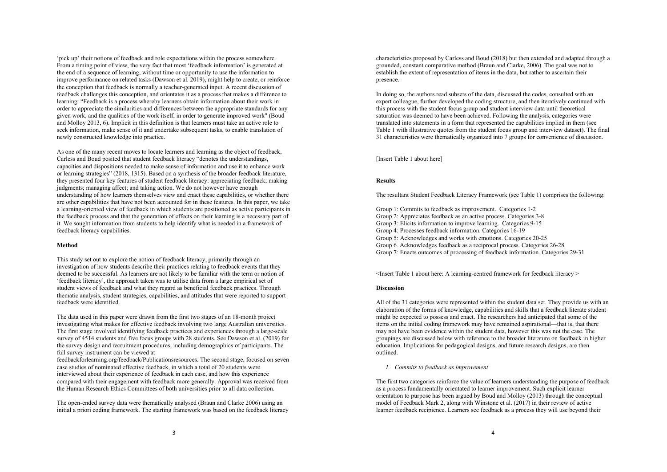'pick up' their notions of feedback and role expectations within the process somewhere. From a timing point of view, the very fact that most 'feedback information' is generated at the end of a sequence of learning, without time or opportunity to use the information to improve performance on related tasks (Dawson et al. 2019), might help to create, or reinforce the conception that feedback is normally a teacher-generated input. A recent discussion of feedback challenges this conception, and orientates it as a process that makes a difference to learning: "Feedback is a process whereby learners obtain information about their work in order to appreciate the similarities and differences between the appropriate standards for any given work, and the qualities of the work itself, in order to generate improved work" (Boud and Molloy 2013, 6). Implicit in this definition is that learners must take an active role to seek information, make sense of it and undertake subsequent tasks, to enable translation of newly constructed knowledge into practice.

As one of the many recent moves to locate learners and learning as the object of feedback, Carless and Boud posited that student feedback literacy "denotes the understandings, capacities and dispositions needed to make sense of information and use it to enhance work or learning strategies" (2018, 1315). Based on a synthesis of the broader feedback literature, they presented four key features of student feedback literacy: appreciating feedback; making judgments; managing affect; and taking action. We do not however have enough understanding of how learners themselves view and enact these capabilities, or whether there are other capabilities that have not been accounted for in these features. In this paper, we take a learning-oriented view of feedback in which students are positioned as active participants in the feedback process and that the generation of effects on their learning is a necessary part of it. We sought information from students to help identify what is needed in a framework of feedback literacy capabilities.

## **Method**

This study set out to explore the notion of feedback literacy, primarily through an investigation of how students describe their practices relating to feedback events that they deemed to be successful. As learners are not likely to be familiar with the term or notion of 'feedback literacy', the approach taken was to utilise data from a large empirical set of student views of feedback and what they regard as beneficial feedback practices. Through thematic analysis, student strategies, capabilities, and attitudes that were reported to support feedback were identified.

The data used in this paper were drawn from the first two stages of an 18-month project investigating what makes for effective feedback involving two large Australian universities. The first stage involved identifying feedback practices and experiences through a large-scale survey of 4514 students and five focus groups with 28 students. See Dawson et al. (2019) for the survey design and recruitment procedures, including demographics of participants. The full survey instrument can be viewed at

feedbackforlearning.org/feedback/Publicationsresources. The second stage, focused on seven case studies of nominated effective feedback, in which a total of 20 students were interviewed about their experience of feedback in each case, and how this experience compared with their engagement with feedback more generally. Approval was received from the Human Research Ethics Committees of both universities prior to all data collection.

The open-ended survey data were thematically analysed (Braun and Clarke 2006) using an initial a priori coding framework. The starting framework was based on the feedback literacy characteristics proposed by Carless and Boud (2018) but then extended and adapted through a grounded, constant comparative method (Braun and Clarke, 2006). The goal was not to establish the extent of representation of items in the data, but rather to ascertain their presence.

In doing so, the authors read subsets of the data, discussed the codes, consulted with an expert colleague, further developed the coding structure, and then iteratively continued with this process with the student focus group and student interview data until theoretical saturation was deemed to have been achieved. Following the analysis, categories were translated into statements in a form that represented the capabilities implied in them (see Table 1 with illustrative quotes from the student focus group and interview dataset). The final 31 characteristics were thematically organized into 7 groups for convenience of discussion.

[Insert Table 1 about here]

#### **Results**

The resultant Student Feedback Literacy Framework (see Table 1) comprises the following:

Group 1: Commits to feedback as improvement. Categories 1-2

Group 2: Appreciates feedback as an active process. Categories 3-8

Group 3: Elicits information to improve learning. Categories 9-15

Group 4: Processes feedback information. Categories 16-19

Group 5: Acknowledges and works with emotions. Categories 20-25

Group 6. Acknowledges feedback as a reciprocal process. Categories 26-28

Group 7: Enacts outcomes of processing of feedback information. Categories 29-31

 $\leq$ Insert Table 1 about here: A learning-centred framework for feedback literacy  $>$ 

#### **Discussion**

All of the 31 categories were represented within the student data set. They provide us with an elaboration of the forms of knowledge, capabilities and skills that a feedback literate student might be expected to possess and enact. The researchers had anticipated that some of the items on the initial coding framework may have remained aspirational—that is, that there may not have been evidence within the student data, however this was not the case. The groupings are discussed below with reference to the broader literature on feedback in higher education. Implications for pedagogical designs, and future research designs, are then outlined.

*1. Commits to feedback as improvement*

The first two categories reinforce the value of learners understanding the purpose of feedback as a process fundamentally orientated to learner improvement. Such explicit learner orientation to purpose has been argued by Boud and Molloy (2013) through the conceptual model of Feedback Mark 2, along with Winstone et al. (2017) in their review of active learner feedback recipience. Learners see feedback as a process they will use beyond their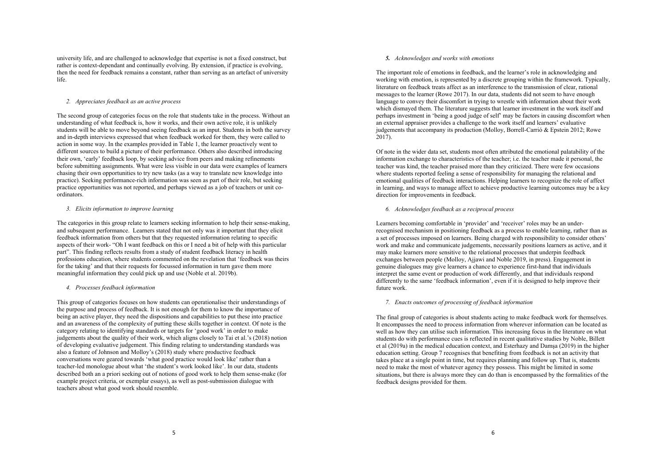university life, and are challenged to acknowledge that expertise is not a fixed construct, but rather is context-dependant and continually evolving. By extension, if practice is evolving, then the need for feedback remains a constant, rather than serving as an artefact of university life.

## *2. Appreciates feedback as an active process*

The second group of categories focus on the role that students take in the process. Without an understanding of what feedback is, how it works, and their own active role, it is unlikely students will be able to move beyond seeing feedback as an input. Students in both the survey and in-depth interviews expressed that when feedback worked for them, they were called to action in some way. In the examples provided in Table 1, the learner proactively went to different sources to build a picture of their performance. Others also described introducing their own, 'early' feedback loop, by seeking advice from peers and making refinements before submitting assignments. What were less visible in our data were examples of learners chasing their own opportunities to try new tasks (as a way to translate new knowledge into practice). Seeking performance-rich information was seen as part of their role, but seeking practice opportunities was not reported, and perhaps viewed as a job of teachers or unit coordinators.

## *3. Elicits information to improve learning*

The categories in this group relate to learners seeking information to help their sense-making, and subsequent performance. Learners stated that not only was it important that they elicit feedback information from others but that they requested information relating to specific aspects of their work- "Oh I want feedback on this or I need a bit of help with this particular part". This finding reflects results from a study of student feedback literacy in health professions education, where students commented on the revelation that 'feedback was theirs for the taking' and that their requests for focussed information in turn gave them more meaningful information they could pick up and use (Noble et al. 2019b).

## *4. Processes feedback information*

This group of categories focuses on how students can operationalise their understandings of the purpose and process of feedback. It is not enough for them to know the importance of being an active player, they need the dispositions and capabilities to put these into practice and an awareness of the complexity of putting these skills together in context. Of note is the category relating to identifying standards or targets for 'good work' in order to make judgements about the quality of their work, which aligns closely to Tai et al.'s (2018) notion of developing evaluative judgement. This finding relating to understanding standards was also a feature of Johnson and Molloy's (2018) study where productive feedback conversations were geared towards 'what good practice would look like' rather than a teacher-led monologue about what 'the student's work looked like'. In our data, students described both an a priori seeking out of notions of good work to help them sense-make (for example project criteria, or exemplar essays), as well as post-submission dialogue with teachers about what good work should resemble.

# *5. Acknowledges and works with emotions*

The important role of emotions in feedback, and the learner's role in acknowledging and working with emotion, is represented by a discrete grouping within the framework. Typically, literature on feedback treats affect as an interference to the transmission of clear, rational messages to the learner (Rowe 2017). In our data, students did not seem to have enough language to convey their discomfort in trying to wrestle with information about their work which dismayed them. The literature suggests that learner investment in the work itself and perhaps investment in 'being a good judge of self' may be factors in causing discomfort when an external appraiser provides a challenge to the work itself and learners' evaluative judgements that accompany its production (Molloy, Borrell-Carrió & Epstein 2012; Rowe 2017).

Of note in the wider data set, students most often attributed the emotional palatability of the information exchange to characteristics of the teacher; i.e. the teacher made it personal, the teacher was kind, the teacher praised more than they criticized. There were few occasions where students reported feeling a sense of responsibility for managing the relational and emotional qualities of feedback interactions. Helping learners to recognize the role of affect in learning, and ways to manage affect to achieve productive learning outcomes may be a key direction for improvements in feedback.

#### *6. Acknowledges feedback as a reciprocal process*

Learners becoming comfortable in 'provider' and 'receiver' roles may be an underrecognised mechanism in positioning feedback as a process to enable learning, rather than as a set of processes imposed on learners. Being charged with responsibility to consider others' work and make and communicate judgements, necessarily positions learners as active, and it may make learners more sensitive to the relational processes that underpin feedback exchanges between people (Molloy, Ajjawi and Noble 2019, in press). Engagement in genuine dialogues may give learners a chance to experience first-hand that individuals interpret the same event or production of work differently, and that individuals respond differently to the same 'feedback information', even if it is designed to help improve their future work.

# *7. Enacts outcomes of processing of feedback information*

The final group of categories is about students acting to make feedback work for themselves. It encompasses the need to process information from wherever information can be located as well as how they can utilise such information. This increasing focus in the literature on what students do with performance cues is reflected in recent qualitative studies by Noble, Billett et al (2019a) in the medical education context, and Esterhazy and Damşa (2019) in the higher education setting. Group 7 recognises that benefiting from feedback is not an activity that takes place at a single point in time, but requires planning and follow up. That is, students need to make the most of whatever agency they possess. This might be limited in some situations, but there is always more they can do than is encompassed by the formalities of the feedback designs provided for them.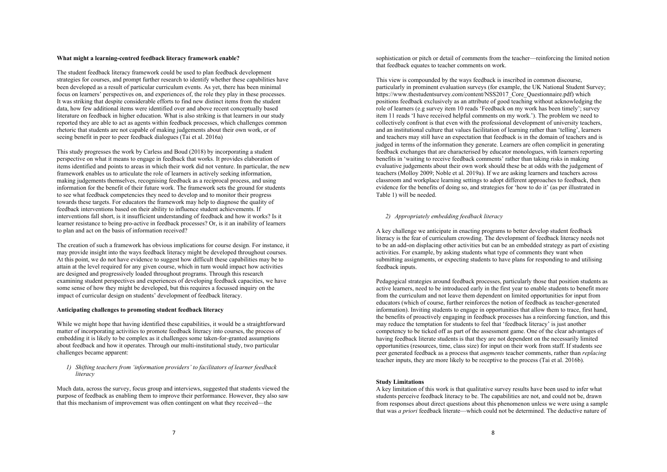# **What might a learning-centred feedback literacy framework enable?**

The student feedback literacy framework could be used to plan feedback development strategies for courses, and prompt further research to identify whether these capabilities have been developed as a result of particular curriculum events. As yet, there has been minimal focus on learners' perspectives on, and experiences of, the role they play in these processes. It was striking that despite considerable efforts to find new distinct items from the student data, how few additional items were identified over and above recent conceptually based literature on feedback in higher education. What is also striking is that learners in our study reported they are able to act as agents within feedback processes, which challenges common rhetoric that students are not capable of making judgements about their own work, or of seeing benefit in peer to peer feedback dialogues (Tai et al. 2016a)

This study progresses the work by Carless and Boud (2018) by incorporating a student perspective on what it means to engage in feedback that works. It provides elaboration of items identified and points to areas in which their work did not venture. In particular, the new framework enables us to articulate the role of learners in actively seeking information, making judgements themselves, recognising feedback as a reciprocal process, and using information for the benefit of their future work. The framework sets the ground for students to see what feedback competencies they need to develop and to monitor their progress towards these targets. For educators the framework may help to diagnose the quality of feedback interventions based on their ability to influence student achievements. If interventions fall short, is it insufficient understanding of feedback and how it works? Is it learner resistance to being pro-active in feedback processes? Or, is it an inability of learners to plan and act on the basis of information received?

The creation of such a framework has obvious implications for course design. For instance, it may provide insight into the ways feedback literacy might be developed throughout courses. At this point, we do not have evidence to suggest how difficult these capabilities may be to attain at the level required for any given course, which in turn would impact how activities are designed and progressively loaded throughout programs. Through this research examining student perspectives and experiences of developing feedback capacities, we have some sense of how they might be developed, but this requires a focussed inquiry on the impact of curricular design on students' development of feedback literacy.

#### **Anticipating challenges to promoting student feedback literacy**

While we might hope that having identified these capabilities, it would be a straightforward matter of incorporating activities to promote feedback literacy into courses, the process of embedding it is likely to be complex as it challenges some taken-for-granted assumptions about feedback and how it operates. Through our multi-institutional study, two particular challenges became apparent:

*1) Shifting teachers from 'information providers' to facilitators of learner feedback literacy* 

Much data, across the survey, focus group and interviews, suggested that students viewed the purpose of feedback as enabling them to improve their performance. However, they also saw that this mechanism of improvement was often contingent on what they received—the

sophistication or pitch or detail of comments from the teacher—reinforcing the limited notion that feedback equates to teacher comments on work.

This view is compounded by the ways feedback is inscribed in common discourse, particularly in prominent evaluation surveys (for example, the UK National Student Survey; https://www.thestudentsurvey.com/content/NSS2017\_Core\_Questionnaire.pdf) which positions feedback exclusively as an attribute of good teaching without acknowledging the role of learners (e.g survey item 10 reads 'Feedback on my work has been timely'; survey item 11 reads 'I have received helpful comments on my work.'). The problem we need to collectively confront is that even with the professional development of university teachers, and an institutional culture that values facilitation of learning rather than 'telling', learners and teachers may still have an expectation that feedback is in the domain of teachers and is judged in terms of the information they generate. Learners are often complicit in generating feedback exchanges that are characterised by educator monologues, with learners reporting benefits in 'waiting to receive feedback comments' rather than taking risks in making evaluative judgements about their own work should these be at odds with the judgement of teachers (Molloy 2009; Noble et al. 2019a). If we are asking learners and teachers across classroom and workplace learning settings to adopt different approaches to feedback, then evidence for the benefits of doing so, and strategies for 'how to do it' (as per illustrated in Table 1) will be needed.

# *2) Appropriately embedding feedback literacy*

A key challenge we anticipate in enacting programs to better develop student feedback literacy is the fear of curriculum crowding. The development of feedback literacy needs not to be an add-on displacing other activities but can be an embedded strategy as part of existing activities. For example, by asking students what type of comments they want when submitting assignments, or expecting students to have plans for responding to and utilising feedback inputs.

Pedagogical strategies around feedback processes, particularly those that position students as active learners, need to be introduced early in the first year to enable students to benefit more from the curriculum and not leave them dependent on limited opportunities for input from educators (which of course, further reinforces the notion of feedback as teacher-generated information). Inviting students to engage in opportunities that allow them to trace, first hand, the benefits of proactively engaging in feedback processes has a reinforcing function, and this may reduce the temptation for students to feel that 'feedback literacy' is just another competency to be ticked off as part of the assessment game. One of the clear advantages of having feedback literate students is that they are not dependent on the necessarily limited opportunities (resources, time, class size) for input on their work from staff. If students see peer generated feedback as a process that *augments* teacher comments, rather than *replacing* teacher inputs, they are more likely to be receptive to the process (Tai et al. 2016b).

# **Study Limitations**

A key limitation of this work is that qualitative survey results have been used to infer what students perceive feedback literacy to be. The capabilities are not, and could not be, drawn from responses about direct questions about this phenomenon unless we were using a sample that was *a priori* feedback literate—which could not be determined. The deductive nature of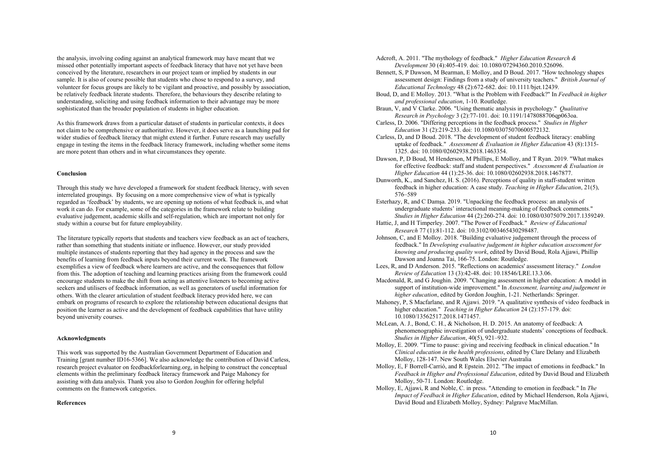the analysis, involving coding against an analytical framework may have meant that we missed other potentially important aspects of feedback literacy that have not yet have been conceived by the literature, researchers in our project team or implied by students in our sample. It is also of course possible that students who chose to respond to a survey, and volunteer for focus groups are likely to be vigilant and proactive, and possibly by association, be relatively feedback literate students. Therefore, the behaviours they describe relating to understanding, soliciting and using feedback information to their advantage may be more sophisticated than the broader population of students in higher education.

As this framework draws from a particular dataset of students in particular contexts, it does not claim to be comprehensive or authoritative. However, it does serve as a launching pad for wider studies of feedback literacy that might extend it further. Future research may usefully engage in testing the items in the feedback literacy framework, including whether some items are more potent than others and in what circumstances they operate.

#### **Conclusion**

Through this study we have developed a framework for student feedback literacy, with seven interrelated groupings. By focusing on a more comprehensive view of what is typically regarded as 'feedback' by students, we are opening up notions of what feedback is, and what work it can do. For example, some of the categories in the framework relate to building evaluative judgement, academic skills and self-regulation, which are important not only for study within a course but for future employability.

The literature typically reports that students and teachers view feedback as an act of teachers, rather than something that students initiate or influence. However, our study provided multiple instances of students reporting that they had agency in the process and saw the benefits of learning from feedback inputs beyond their current work. The framework exemplifies a view of feedback where learners are active, and the consequences that follow from this. The adoption of teaching and learning practices arising from the framework could encourage students to make the shift from acting as attentive listeners to becoming active seekers and utilisers of feedback information, as well as generators of useful information for others. With the clearer articulation of student feedback literacy provided here, we can embark on programs of research to explore the relationship between educational designs that position the learner as active and the development of feedback capabilities that have utility beyond university courses.

#### **Acknowledgments**

This work was supported by the Australian Government Department of Education and Training [grant number ID16-5366]. We also acknowledge the contribution of David Carless, research project evaluator on feedbackforlearning.org, in helping to construct the conceptual elements within the preliminary feedback literacy framework and Paige Mahoney for assisting with data analysis. Thank you also to Gordon Joughin for offering helpful comments on the framework categories.

#### **References**

Adcroft, A. 2011. "The mythology of feedback." *Higher Education Research & Development* 30 (4):405-419. doi: 10.1080/07294360.2010.526096.

- Bennett, S, P Dawson, M Bearman, E Molloy, and D Boud. 2017. "How technology shapes assessment design: Findings from a study of university teachers." *British Journal of Educational Technology* 48 (2):672-682. doi: 10.1111/bjet.12439.
- Boud, D, and E Molloy. 2013. "What is the Problem with Feedback?" In *Feedback in higher and professional education*, 1-10. Routledge.
- Braun, V, and V Clarke. 2006. "Using thematic analysis in psychology." *Qualitative Research in Psychology* 3 (2):77-101. doi: 10.1191/1478088706qp063oa.
- Carless, D. 2006. "Differing perceptions in the feedback process." *Studies in Higher Education* 31 (2):219-233. doi: 10.1080/03075070600572132.
- Carless, D, and D Boud. 2018. "The development of student feedback literacy: enabling uptake of feedback." *Assessment & Evaluation in Higher Education* 43 (8):1315- 1325. doi: 10.1080/02602938.2018.1463354.
- Dawson, P, D Boud, M Henderson, M Phillips, E Molloy, and T Ryan. 2019. "What makes for effective feedback: staff and student perspectives." *Assessment & Evaluation in Higher Education* 44 (1):25-36. doi: 10.1080/02602938.2018.1467877.
- Dunworth, K., and Sanchez, H. S. (2016). Perceptions of quality in staff-student written feedback in higher education: A case study. *Teaching in Higher Education*, 21(5), 576–589

Esterhazy, R, and C Damşa. 2019. "Unpacking the feedback process: an analysis of undergraduate students' interactional meaning-making of feedback comments." *Studies in Higher Education* 44 (2):260-274. doi: 10.1080/03075079.2017.1359249.

- Hattie, J, and H Timperley. 2007. "The Power of Feedback." *Review of Educational Research* 77 (1):81-112. doi: 10.3102/003465430298487.
- Johnson, C, and E Molloy. 2018. "Building evaluative judgement through the process of feedback." In *Developing evaluative judgement in higher education assessment for knowing and producing quality work*, edited by David Boud, Rola Ajjawi, Phillip Dawson and Joanna Tai, 166-75. London: Routledge.
- Lees, R, and D Anderson. 2015. "Reflections on academics' assessment literacy." *London Review of Education* 13 (3):42-48. doi: 10.18546/LRE.13.3.06.
- Macdonald, R, and G Joughin. 2009. "Changing assessment in higher education: A model in support of institution-wide improvement." In *Assessment, learning and judgement in higher education*, edited by Gordon Joughin, 1-21. Netherlands: Springer.
- Mahoney, P, S Macfarlane, and R Ajjawi. 2019. "A qualitative synthesis of video feedback in higher education." *Teaching in Higher Education* 24 (2):157-179. doi: 10.1080/13562517.2018.1471457.
- McLean, A. J., Bond, C. H., & Nicholson, H. D. 2015. An anatomy of feedback: A phenomenographic investigation of undergraduate students' conceptions of feedback. *Studies in Higher Education*, 40(5), 921–932.
- Molloy, E. 2009. "Time to pause: giving and receiving feedback in clinical education." In *Clinical education in the health professions*, edited by Clare Delany and Elizabeth Molloy, 128-147. New South Wales Elsevier Australia
- Molloy, E, F Borrell-Carrió, and R Epstein. 2012. "The impact of emotions in feedback." In *Feedback in Higher and Professional Education*, edited by David Boud and Elizabeth Molloy, 50-71. London: Routledge.
- Molloy, E, Ajjawi, R and Noble, C. in press. "Attending to emotion in feedback." In *The Impact of Feedback in Higher Education*, edited by Michael Henderson, Rola Ajjawi, David Boud and Elizabeth Molloy, Sydney: Palgrave MacMillan.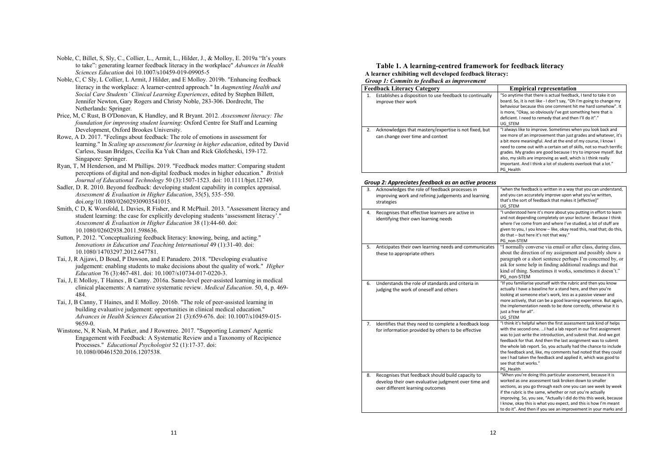- Noble, C, Billet, S, Sly, C., Collier, L., Armit, L., Hilder, J., & Molloy, E. 2019a "It's yours to take": generating learner feedback literacy in the workplace" *Advances in Health Sciences Education* doi 10.1007/s10459-019-09905-5
- Noble, C, C Sly, L Collier, L Armit, J Hilder, and E Molloy. 2019b. "Enhancing feedback literacy in the workplace: A learner-centred approach." In *Augmenting Health and Social Care Students' Clinical Learning Experiences*, edited by Stephen Billett, Jennifer Newton, Gary Rogers and Christy Noble, 283-306. Dordrecht, The Netherlands: Springer.
- Price, M, C Rust, B O'Donovan, K Handley, and R Bryant. 2012. *Assessment literacy: The foundation for improving student learning*: Oxford Centre for Staff and Learning Development, Oxford Brookes University.
- Rowe, A D. 2017. "Feelings about feedback: The role of emotions in assessment for learning." In *Scaling up assessment for learning in higher education*, edited by David Carless, Susan Bridges, Cecilia Ka Yuk Chan and Rick Glofcheski, 159-172. Singapore: Springer.
- Ryan, T, M Henderson, and M Phillips. 2019. "Feedback modes matter: Comparing student perceptions of digital and non-digital feedback modes in higher education." *British Journal of Educational Technology* 50 (3):1507-1523. doi: 10.1111/bjet.12749.
- Sadler, D. R. 2010. Beyond feedback: developing student capability in complex appraisal. *Assessment & Evaluation in Higher Education*, 35(5), 535–550. doi.org/10.1080/02602930903541015.
- Smith, C D, K Worsfold, L Davies, R Fisher, and R McPhail. 2013. "Assessment literacy and student learning: the case for explicitly developing students 'assessment literacy'." *Assessment & Evaluation in Higher Education* 38 (1):44-60. doi: 10.1080/02602938.2011.598636.
- Sutton, P. 2012. "Conceptualizing feedback literacy: knowing, being, and acting." *Innovations in Education and Teaching International* 49 (1):31-40. doi: 10.1080/14703297.2012.647781.
- Tai, J, R Ajjawi, D Boud, P Dawson, and E Panadero. 2018. "Developing evaluative judgement: enabling students to make decisions about the quality of work." *Higher Education* 76 (3):467-481. doi: 10.1007/s10734-017-0220-3.
- Tai, J, E Molloy, T Haines , B Canny. 2016a. Same-level peer-assisted learning in medical clinical placements: A narrative systematic review. *Medical Education*. 50, 4, p. 469- 484.
- Tai, J, B Canny, T Haines, and E Molloy. 2016b. "The role of peer-assisted learning in building evaluative judgement: opportunities in clinical medical education." *Advances in Health Sciences Education* 21 (3):659-676. doi: 10.1007/s10459-015- 9659-0.
- Winstone, N, R Nash, M Parker, and J Rowntree. 2017. "Supporting Learners' Agentic Engagement with Feedback: A Systematic Review and a Taxonomy of Recipience Processes." *Educational Psychologist* 52 (1):17-37. doi: 10.1080/00461520.2016.1207538.

## **Table 1. A learning-centred framework for feedback literacy A learner exhibiting well developed feedback literacy:** *Group 1: Commits to feedback as improvement*

| <b>Feedback Literacy Category</b> |                                                                                           | <b>Empirical representation</b>                                                                                                                                                                                                                                                                                                                                                                                                                                                          |
|-----------------------------------|-------------------------------------------------------------------------------------------|------------------------------------------------------------------------------------------------------------------------------------------------------------------------------------------------------------------------------------------------------------------------------------------------------------------------------------------------------------------------------------------------------------------------------------------------------------------------------------------|
| 1.                                | Establishes a disposition to use feedback to continually<br>improve their work            | "So anytime that there is actual feedback, I tend to take it on<br>board. So, it is not like - I don't say, "Oh I'm going to change my<br>behaviour because this one comment hit me hard somehow". It<br>is more. "Okay, so obviously I've got something here that is<br>deficient. I need to remedy that and then I'll do it"."<br>UG STEM                                                                                                                                              |
|                                   | Acknowledges that mastery/expertise is not fixed, but<br>can change over time and context | "I always like to improve. Sometimes when you look back and<br>see more of an improvement than just grades and whatever, it's<br>a bit more meaningful. And at the end of my course, I know I<br>need to come out with a certain set of skills, not so much terrific<br>grades. My grades are good because I try to improve myself. But<br>also, my skills are improving as well, which is I think really<br>important. And I think a lot of students overlook that a lot."<br>PG Health |

# *Group 2: Appreciates feedback as an active process*

| 3. | Group 2: Appreciates Jeeapack as an active process<br>Acknowledges the role of feedback processes in                                         | "when the feedback is written in a way that you can understand,                                                                                                                                                                                                                                                                                                                                                                                                                                                         |
|----|----------------------------------------------------------------------------------------------------------------------------------------------|-------------------------------------------------------------------------------------------------------------------------------------------------------------------------------------------------------------------------------------------------------------------------------------------------------------------------------------------------------------------------------------------------------------------------------------------------------------------------------------------------------------------------|
|    | improving work and refining judgements and learning<br>strategies                                                                            | and you can accurately improve upon what you've written,<br>that's the sort of feedback that makes it [effective]"                                                                                                                                                                                                                                                                                                                                                                                                      |
|    |                                                                                                                                              | UG STEM                                                                                                                                                                                                                                                                                                                                                                                                                                                                                                                 |
| 4. | Recognises that effective learners are active in<br>identifying their own learning needs                                                     | "I understood here it's more about you putting in effort to learn<br>and not depending completely on your lecturer. Because I think<br>where I've come from and where I've studied, a lot of stuff are<br>given to you, I you know - like, okay read this, read that; do this,<br>do that - but here it's not that way."<br>PG non-STEM                                                                                                                                                                                 |
| 5. | Anticipates their own learning needs and communicates<br>these to appropriate others                                                         | "I normally converse via email or after class, during class,<br>about the direction of my assignment and possibly show a<br>paragraph or a short sentence perhaps I'm concerned by, or<br>ask for some help in finding additional readings and that<br>kind of thing. Sometimes it works, sometimes it doesn't."<br>PG non-STEM                                                                                                                                                                                         |
| 6. | Understands the role of standards and criteria in<br>judging the work of oneself and others                                                  | "If you familiarise yourself with the rubric and then you know<br>actually I have a baseline for a stand here, and then you're<br>looking at someone else's work, less as a passive viewer and<br>more actively, that can be a good learning experience. But again,<br>the implementation needs to be done correctly, otherwise it is<br>just a free for all".<br>UG STEM                                                                                                                                               |
| 7. | Identifies that they need to complete a feedback loop<br>for information provided by others to be effective                                  | "I think it's helpful when the first assessment task kind of helps<br>with the second one.  I had a lab report in our first assignment<br>was to just write the introduction, and submit that. And we got<br>feedback for that. And then the last assignment was to submit<br>the whole lab report. So, you actually had the chance to include<br>the feedback and, like, my comments had noted that they could<br>see I had taken the feedback and applied it, which was good to<br>see that that works."<br>PG Health |
| 8. | Recognises that feedback should build capacity to<br>develop their own evaluative judgment over time and<br>over different learning outcomes | "When you're doing this particular assessment, because it is<br>worked as one assessment task broken down to smaller<br>sections, as you go through each one you can see week by week<br>if the rubric is the same, whether or not you're actually<br>improving. So, you see, "Actually I did do this this week, because<br>I know, okay this is what you expect, and this is how I'm meant<br>to do it". And then if you see an improvement in your marks and                                                          |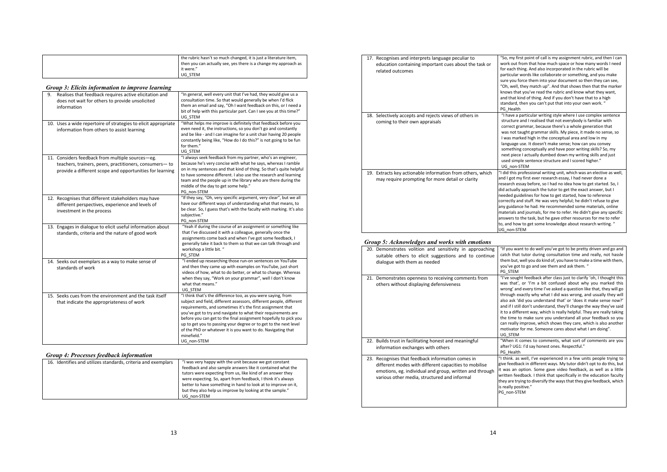| the rubric hasn't so much changed, it is just a literature item, |
|------------------------------------------------------------------|
| then you can actually see, yes there is a change my approach as  |
| it were."                                                        |
| UG STEM                                                          |

# *Group 3: Elicits information to improve learning*

| 9. | Realises that feedback requires active elicitation and<br>does not wait for others to provide unsolicited<br>information                                                | "In general, well every unit that I've had, they would give us a<br>consultation time. So that would generally be when I'd flick<br>them an email and say, "Oh I want feedback on this, or I need a<br>bit of help with this particular part. Can I see you at this time?"                                                                                                                                                                                                                               |
|----|-------------------------------------------------------------------------------------------------------------------------------------------------------------------------|----------------------------------------------------------------------------------------------------------------------------------------------------------------------------------------------------------------------------------------------------------------------------------------------------------------------------------------------------------------------------------------------------------------------------------------------------------------------------------------------------------|
|    | 10. Uses a wide repertoire of strategies to elicit appropriate<br>information from others to assist learning                                                            | UG STEM<br>"What helps me improve is definitely that feedback before you<br>even need it, the instructions, so you don't go and constantly<br>and be like - and I can imagine for a unit chair having 20 people<br>constantly being like, "How do I do this?" is not going to be fun<br>for them."<br>UG STEM                                                                                                                                                                                            |
|    | 11. Considers feedback from multiple sources-eg.<br>teachers, trainers, peers, practitioners, consumers- to<br>provide a different scope and opportunities for learning | "I always seek feedback from my partner, who's an engineer,<br>because he's very concise with what he says, whereas I ramble<br>on in my sentences and that kind of thing. So that's quite helpful<br>to have someone different. I also use the research and learning<br>team and the people up in the library who are there during the<br>middle of the day to get some help."<br>PG non-STEM                                                                                                           |
|    | 12. Recognises that different stakeholders may have<br>different perspectives, experience and levels of<br>investment in the process                                    | "If they say, "Oh, very specific argument, very clear", but we all<br>have our different ways of understanding what that means, to<br>be clear. So, I guess that's with the faculty with marking. It's also<br>subjective."<br>PG non-STEM                                                                                                                                                                                                                                                               |
|    | 13. Engages in dialogue to elicit useful information about<br>standards, criteria and the nature of good work                                                           | "Yeah if during the course of an assignment or something like<br>that I've discussed it with a colleague, generally once the<br>assignments come back and when I've got some feedback, I<br>generally take it back to them so that we can talk through and<br>workshop a little bit. "<br>PG STEM                                                                                                                                                                                                        |
|    | 14. Seeks out exemplars as a way to make sense of<br>standards of work                                                                                                  | "I ended up researching those run-on sentences on YouTube<br>and then they came up with examples on YouTube, just short<br>videos of how, what to do better, or what to change. Whereas<br>when they say, "Work on your grammar", well I don't know<br>what that means."<br>UG STEM                                                                                                                                                                                                                      |
|    | 15. Seeks cues from the environment and the task itself<br>that indicate the appropriateness of work                                                                    | "I think that's the difference too, as you were saying, from<br>subject and field, different assessors, different people, different<br>requirements, and sometimes it's the first assignment that<br>you've got to try and navigate to what their requirements are<br>before you can get to the final assignment hopefully to pick you<br>up to get you to passing your degree or to get to the next level<br>of the PhD or whatever it is you want to do. Navigating that<br>minefield."<br>UG non-STEM |

# *Group 4: Processes feedback information*

| 16. Identifies and utilizes standards, criteria and exemplars | "I was very happy with the unit because we got constant       |
|---------------------------------------------------------------|---------------------------------------------------------------|
|                                                               | feedback and also sample answers like it contained what the   |
|                                                               | tutors were expecting from us, like kind of an answer they    |
|                                                               | were expecting. So, apart from feedback, I think it's always  |
|                                                               | better to have something in hand to look at to improve on it, |
|                                                               | but they also help us improve by looking at the sample."      |
|                                                               | UG non-STEM                                                   |

| 17. Recognises and interprets language peculiar to<br>education containing important cues about the task or<br>related outcomes | "So, my first point of call is my assignment rubric, and then I can<br>work out from that how much space or how many words I need<br>for each thing. And also incorporated in the rubric will be<br>particular words like collaborate or something, and you make<br>sure you force them into your document so then they can see,<br>"Oh, well, they match up". And that shows then that the marker<br>knows that you've read the rubric and know what they want,<br>and that kind of thing. And if you don't have that to a high<br>standard, then you can't put that into your own work. "<br>PG Health                                                                                               |
|---------------------------------------------------------------------------------------------------------------------------------|--------------------------------------------------------------------------------------------------------------------------------------------------------------------------------------------------------------------------------------------------------------------------------------------------------------------------------------------------------------------------------------------------------------------------------------------------------------------------------------------------------------------------------------------------------------------------------------------------------------------------------------------------------------------------------------------------------|
| 18. Selectively accepts and rejects views of others in<br>coming to their own appraisals                                        | "I have a particular writing style where I use complex sentence<br>structure and I realised that not everybody is familiar with<br>correct grammar, because there's a whole generation that<br>was not taught grammar skills. My piece, it made no sense, so<br>I was marked high in the conceptual area and low in my<br>language use. It doesn't make sense; how can you convey<br>something conceptually and have poor writing skills? So, my<br>next piece I actually dumbed down my writing skills and just<br>used simple sentence structure and I scored higher."<br>UG non-STEM                                                                                                                |
| 19. Extracts key actionable information from others, which<br>may require prompting for more detail or clarity                  | "I did this professional writing unit, which was an elective as well,<br>and I got my first ever research essay, I had never done a<br>research essay before, so I had no idea how to get started. So, I<br>did actually approach the tutor to get the exact answer, but I<br>needed guidelines for how to get started, how to reference<br>correctly and stuff. He was very helpful; he didn't refuse to give<br>any guidance he had. He recommended some materials, online<br>materials and journals, for me to refer. He didn't give any specific<br>answers to the task, but he gave other resources for me to refer<br>to, and how to get some knowledge about research writing. "<br>UG non-STEM |

# *Group 5: Acknowledges and works with emotions*

| 20. Demonstrates volition and sensitivity in approaching<br>suitable others to elicit suggestions and to continue<br>dialogue with them as needed                                                                     | "If you want to do well you've got to be pretty driven and go and<br>catch that tutor during consultation time and really, not hassle<br>them but, well you do kind of, you have to make a time with them,<br>you've got to go and see them and ask them. "<br>PG STEM                                                                                                                                                                                                                                                                                                                                                                                                                                         |
|-----------------------------------------------------------------------------------------------------------------------------------------------------------------------------------------------------------------------|----------------------------------------------------------------------------------------------------------------------------------------------------------------------------------------------------------------------------------------------------------------------------------------------------------------------------------------------------------------------------------------------------------------------------------------------------------------------------------------------------------------------------------------------------------------------------------------------------------------------------------------------------------------------------------------------------------------|
| 21. Demonstrates openness to receiving comments from<br>others without displaying defensiveness                                                                                                                       | "I've sought feedback after class just to clarify 'oh, I thought this<br>was that', or 'I'm a bit confused about why you marked this<br>wrong' and every time I've asked a question like that, they will go<br>through exactly why what I did was wrong, and usually they will<br>also ask 'did you understand that' or 'does it make sense now?'<br>and if I still don't understand, they'll change the way they've said<br>it to a different way, which is really helpful. They are really taking<br>the time to make sure you understand all your feedback so you<br>can really improve, which shows they care, which is also another<br>motivator for me. Someone cares about what I am doing".<br>UG STEM |
| 22. Builds trust in facilitating honest and meaningful<br>information exchanges with others                                                                                                                           | "When it comes to comments, what sort of comments are you<br>after? UG1: I'd say honest ones. Respectful."<br>PG Health                                                                                                                                                                                                                                                                                                                                                                                                                                                                                                                                                                                        |
| 23. Recognises that feedback information comes in<br>different modes with different capacities to mobilise<br>emotions, eg. individual and group, written and through<br>various other media, structured and informal | "I think. as well, I've experienced in a few units people trying to<br>give feedback in different ways. My tutor didn't opt to do this, but<br>it was an option. Some gave video feedback, as well as a little<br>written feedback. I think that specifically in the education faculty<br>they are trying to diversify the ways that they give feedback, which<br>is really positive."<br>PG non-STEM                                                                                                                                                                                                                                                                                                          |